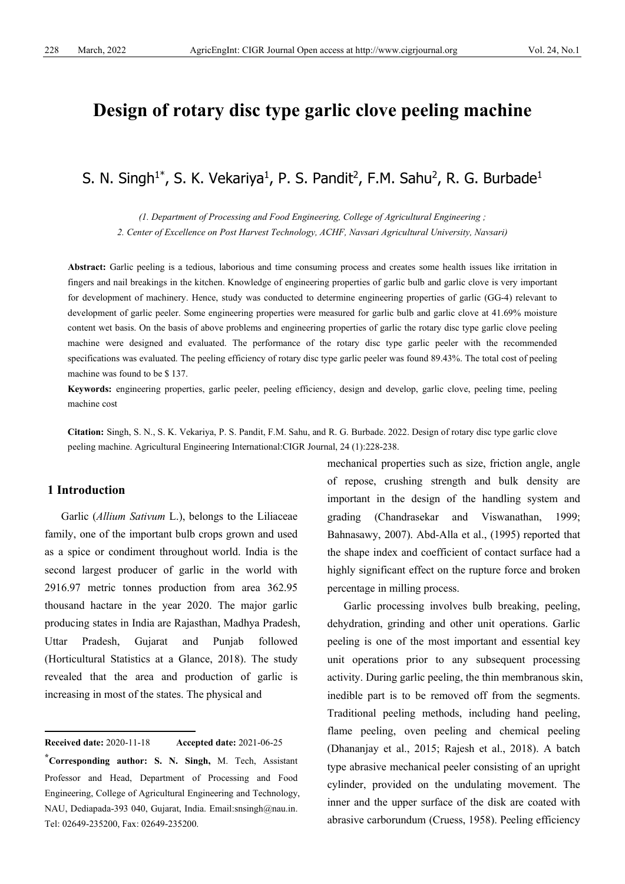# **Design of rotary disc type garlic clove peeling machine**

S. N. Singh $^1*$ , S. K. Vekariya $^1$ , P. S. Pandit<sup>2</sup>, F.M. Sahu<sup>2</sup>, R. G. Burbade $^1$ 

*(1. Department of Processing and Food Engineering, College of Agricultural Engineering ; 2. Center of Excellence on Post Harvest Technology, ACHF, Navsari Agricultural University, Navsari)*

**Abstract:** Garlic peeling is a tedious, laborious and time consuming process and creates some health issues like irritation in fingers and nail breakings in the kitchen. Knowledge of engineering properties of garlic bulb and garlic clove is very important for development of machinery. Hence, study was conducted to determine engineering properties of garlic (GG-4) relevant to development of garlic peeler. Some engineering properties were measured for garlic bulb and garlic clove at 41.69% moisture content wet basis. On the basis of above problems and engineering properties of garlic the rotary disc type garlic clove peeling machine were designed and evaluated. The performance of the rotary disc type garlic peeler with the recommended specifications was evaluated. The peeling efficiency of rotary disc type garlic peeler was found 89.43%. The total cost of peeling machine was found to be \$ 137.

**Keywords:** engineering properties, garlic peeler, peeling efficiency, design and develop, garlic clove, peeling time, peeling machine cost

**Citation:** Singh, S. N., S. K. Vekariya, P. S. Pandit, F.M. Sahu, and R. G. Burbade. 2022. Design of rotary disc type garlic clove peeling machine. Agricultural Engineering International:CIGR Journal, 24 (1):228-238.

#### **1 Introduction**

Garlic (*Allium Sativum* L.), belongs to the Liliaceae family, one of the important bulb crops grown and used as a spice or condiment throughout world. India is the second largest producer of garlic in the world with 2916.97 metric tonnes production from area 362.95 thousand hactare in the year 2020. The major garlic producing states in India are Rajasthan, Madhya Pradesh, Uttar Pradesh, Gujarat and Punjab followed (Horticultural Statistics at a Glance, 2018). The study revealed that the area and production of garlic is increasing in most of the states. The physical and

<span id="page-0-0"></span>**Received date:** 2020-11-18 **Accepted date:** 2021-06-25

mechanical properties such as size, friction angle, angle of repose, crushing strength and bulk density are important in the design of the handling system and grading (Chandrasekar and Viswanathan, 1999; Bahnasawy, 2007). Abd-Alla et al., (1995) reported that the shape index and coefficient of contact surface had a highly significant effect on the rupture force and broken percentage in milling process.

Garlic processing involves bulb breaking, peeling, dehydration, grinding and other unit operations. Garlic peeling is one of the most important and essential key unit operations prior to any subsequent processing activity. During garlic peeling, the thin membranous skin, inedible part is to be removed off from the segments. Traditional peeling methods, including hand peeling, flame peeling, oven peeling and chemical peeling (Dhananjay et al., 2015; Rajesh et al., 2018). A batch type abrasive mechanical peeler consisting of an upright cylinder, provided on the undulating movement. The inner and the upper surface of the disk are coated with abrasive carborundum (Cruess, 1958). Peeling efficiency

**<sup>\*</sup>Corresponding author: S. N. Singh,** M. Tech, Assistant Professor and Head, Department of Processing and Food Engineering, College of Agricultural Engineering and Technology, NAU, Dediapada-393 040, Gujarat, India. Email:snsingh@nau.in. Tel: [02649-235200,](tel:02649-235200.) Fax: 02649-235200.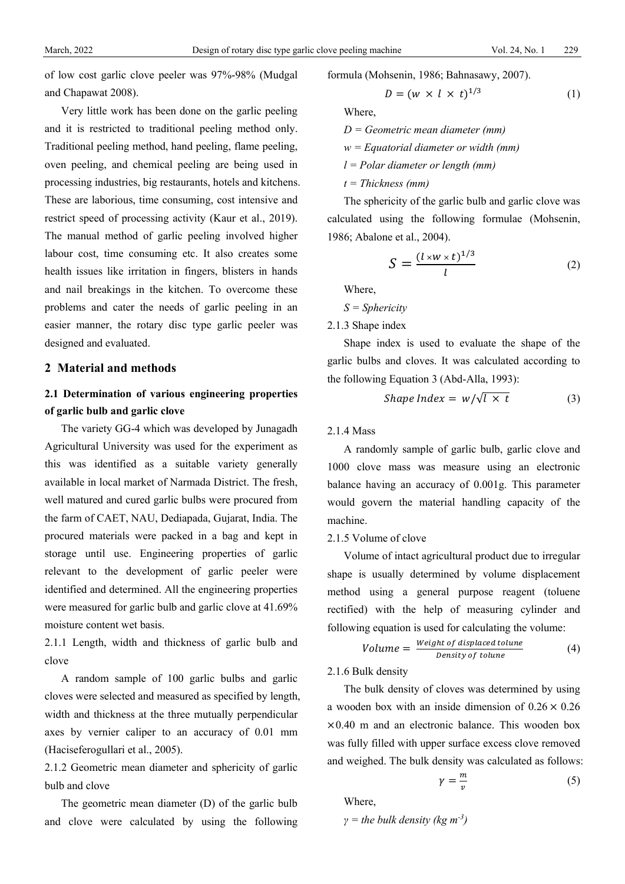of low cost garlic clove peeler was 97%-98% (Mudgal and Chapawat 2008).

Very little work has been done on the garlic peeling and it is restricted to traditional peeling method only. Traditional peeling method, hand peeling, flame peeling, oven peeling, and chemical peeling are being used in processing industries, big restaurants, hotels and kitchens. These are laborious, time consuming, cost intensive and restrict speed of processing activity (Kaur et al., 2019). The manual method of garlic peeling involved higher labour cost, time consuming etc. It also creates some health issues like irritation in fingers, blisters in hands and nail breakings in the kitchen. To overcome these problems and cater the needs of garlic peeling in an easier manner, the rotary disc type garlic peeler was designed and evaluated.

#### **2 Material and methods**

## **2.1 Determination of various engineering properties of garlic bulb and garlic clove**

The variety GG-4 which was developed by Junagadh Agricultural University was used for the experiment as this was identified as a suitable variety generally available in local market of Narmada District. The fresh, well matured and cured garlic bulbs were procured from the farm of CAET, NAU, Dediapada, Gujarat, India. The procured materials were packed in a bag and kept in storage until use. Engineering properties of garlic relevant to the development of garlic peeler were identified and determined. All the engineering properties were measured for garlic bulb and garlic clove at 41.69% moisture content wet basis.

2.1.1 Length, width and thickness of garlic bulb and clove

A random sample of 100 garlic bulbs and garlic cloves were selected and measured as specified by length, width and thickness at the three mutually perpendicular axes by vernier caliper to an accuracy of 0.01 mm (Haciseferogullari et al., 2005).

2.1.2 Geometric mean diameter and sphericity of garlic bulb and clove

The geometric mean diameter (D) of the garlic bulb and clove were calculated by using the following formula (Mohsenin, 1986; Bahnasawy, 2007).

$$
D = (w \times l \times t)^{1/3} \tag{1}
$$

Where,

*D = Geometric mean diameter (mm)*

*w = Equatorial diameter or width (mm)*

*l = Polar diameter or length (mm)*

*t = Thickness (mm)*

The sphericity of the garlic bulb and garlic clove was calculated using the following formulae (Mohsenin, 1986; Abalone et al., 2004).

$$
S = \frac{(l \times w \times t)^{1/3}}{l} \tag{2}
$$

Where,

*S = Sphericity*

2.1.3 Shape index

Shape index is used to evaluate the shape of the garlic bulbs and cloves. It was calculated according to the following Equation 3 (Abd-Alla, 1993):

$$
Shape Index = w/\sqrt{l \times t}
$$
 (3)

#### 2.1.4 Mass

A randomly sample of garlic bulb, garlic clove and 1000 clove mass was measure using an electronic balance having an accuracy of 0.001g. This parameter would govern the material handling capacity of the machine.

#### 2.1.5 Volume of clove

Volume of intact agricultural product due to irregular shape is usually determined by volume displacement method using a general purpose reagent (toluene rectified) with the help of measuring cylinder and following equation is used for calculating the volume:

$$
Volume = \frac{Weight \ of \ displaced \ volume}{Density \ of \ volume}
$$
 (4)

2.1.6 Bulk density

The bulk density of cloves was determined by using a wooden box with an inside dimension of  $0.26 \times 0.26$  $\times 0.40$  m and an electronic balance. This wooden box was fully filled with upper surface excess clove removed and weighed. The bulk density was calculated as follows:

$$
\gamma = \frac{m}{v} \tag{5}
$$

Where,

$$
\gamma = the bulk density (kg m-3)
$$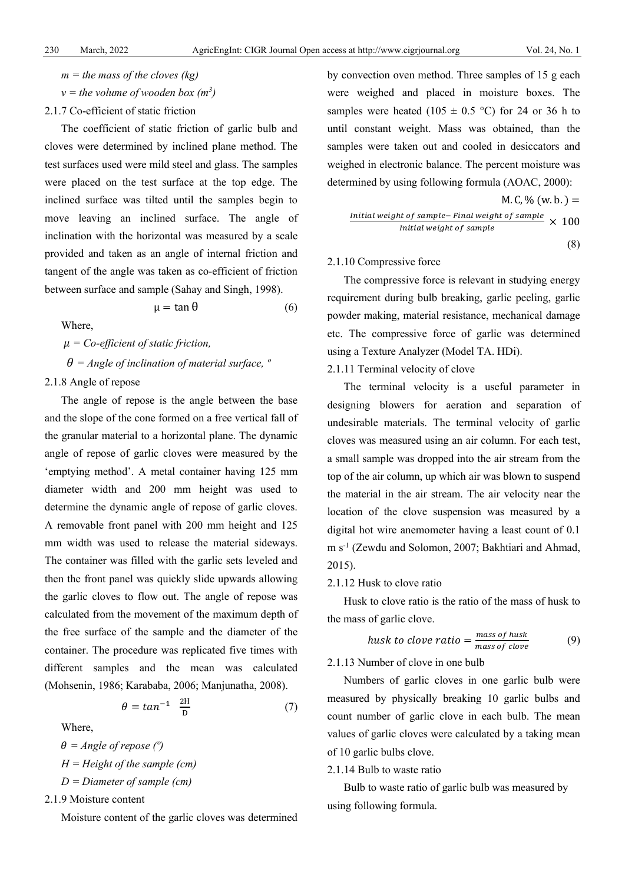- $m =$  *the mass of the cloves (kg)*
- *v = the volume of wooden box (m<sup>3</sup> )*
- 2.1.7 Co-efficient of static friction

The coefficient of static friction of garlic bulb and cloves were determined by inclined plane method. The test surfaces used were mild steel and glass. The samples were placed on the test surface at the top edge. The inclined surface was tilted until the samples begin to move leaving an inclined surface. The angle of inclination with the horizontal was measured by a scale provided and taken as an angle of internal friction and tangent of the angle was taken as co-efficient of friction between surface and sample (Sahay and Singh, 1998).

$$
\mu = \tan \theta \tag{6}
$$

Where,

 *= Co-efficient of static friction,*  $\theta$  = *Angle of inclination of material surface,*  $\degree$ 

#### 2.1.8 Angle of repose

The angle of repose is the angle between the base and the slope of the cone formed on a free vertical fall of the granular material to a horizontal plane. The dynamic angle of repose of garlic cloves were measured by the 'emptying method'. A metal container having 125 mm diameter width and 200 mm height was used to determine the dynamic angle of repose of garlic cloves. A removable front panel with 200 mm height and 125 mm width was used to release the material sideways. The container was filled with the garlic sets leveled and then the front panel was quickly slide upwards allowing the garlic cloves to flow out. The angle of repose was calculated from the movement of the maximum depth of the free surface of the sample and the diameter of the container. The procedure was replicated five times with different samples and the mean was calculated (Mohsenin, 1986; Karababa, 2006; Manjunatha, 2008).

$$
\theta = \tan^{-1} \frac{2H}{D} \tag{7}
$$

Where,

- $\theta$  = *Angle of repose* ( $\degree$ ) *H = Height of the sample (cm)*
- *D = Diameter of sample (cm)*

2.1.9 Moisture content

Moisture content of the garlic cloves was determined

by convection oven method. Three samples of 15 g each were weighed and placed in moisture boxes. The samples were heated (105  $\pm$  0.5 °C) for 24 or 36 h to until constant weight. Mass was obtained, than the samples were taken out and cooled in desiccators and weighed in electronic balance. The percent moisture was determined by using following formula (AOAC, 2000):

M. C, % (w. b. ) = ℎ − ℎ ℎ × 100

(8)

#### 2.1.10 Compressive force

The compressive force is relevant in studying energy requirement during bulb breaking, garlic peeling, garlic powder making, material resistance, mechanical damage etc. The compressive force of garlic was determined using a Texture Analyzer (Model TA. HDi).

#### 2.1.11 Terminal velocity of clove

The terminal velocity is a useful parameter in designing blowers for aeration and separation of undesirable materials. The terminal velocity of garlic cloves was measured using an air column. For each test, a small sample was dropped into the air stream from the top of the air column, up which air was blown to suspend the material in the air stream. The air velocity near the location of the clove suspension was measured by a digital hot wire anemometer having a least count of 0.1 m s-1 (Zewdu and Solomon, 2007; Bakhtiari and Ahmad, 2015).

#### 2.1.12 Husk to clove ratio

Husk to clove ratio is the ratio of the mass of husk to the mass of garlic clove.

$$
husk\ to\ clove\ ratio = \frac{mass\ of\ husk}{mass\ of\ clove} \tag{9}
$$

2.1.13 Number of clove in one bulb

Numbers of garlic cloves in one garlic bulb were measured by physically breaking 10 garlic bulbs and count number of garlic clove in each bulb. The mean values of garlic cloves were calculated by a taking mean of 10 garlic bulbs clove.

2.1.14 Bulb to waste ratio

Bulb to waste ratio of garlic bulb was measured by using following formula.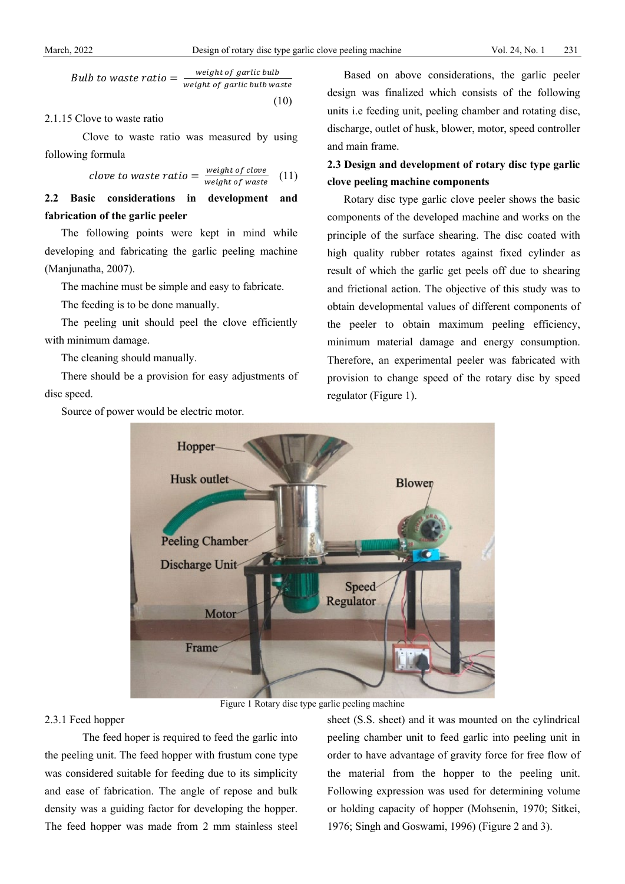Bulb to waste  $ratio = \frac{weight \space of \space garticle \space value}{weight \space of \space garticle \space bulk \space value}$ (10)

2.1.15 Clove to waste ratio

Clove to waste ratio was measured by using following formula

*close to waste ratio* = 
$$
\frac{\text{weight of close}}{\text{weight of waste}}
$$
 (11)

**2.2 Basic considerations in development and fabrication of the garlic peeler**

The following points were kept in mind while developing and fabricating the garlic peeling machine (Manjunatha, 2007).

The machine must be simple and easy to fabricate.

The feeding is to be done manually.

The peeling unit should peel the clove efficiently with minimum damage.

The cleaning should manually.

There should be a provision for easy adjustments of disc speed.

Source of power would be electric motor.

Based on above considerations, the garlic peeler design was finalized which consists of the following units i.e feeding unit, peeling chamber and rotating disc, discharge, outlet of husk, blower, motor, speed controller and main frame.

## **2.3 Design and development of rotary disc type garlic clove peeling machine components**

Rotary disc type garlic clove peeler shows the basic components of the developed machine and works on the principle of the surface shearing. The disc coated with high quality rubber rotates against fixed cylinder as result of which the garlic get peels off due to shearing and frictional action. The objective of this study was to obtain developmental values of different components of the peeler to obtain maximum peeling efficiency, minimum material damage and energy consumption. Therefore, an experimental peeler was fabricated with provision to change speed of the rotary disc by speed regulator (Figure 1).



Figure 1 Rotary disc type garlic peeling machine

#### 2.3.1 Feed hopper

The feed hoper is required to feed the garlic into the peeling unit. The feed hopper with frustum cone type was considered suitable for feeding due to its simplicity and ease of fabrication. The angle of repose and bulk density was a guiding factor for developing the hopper. The feed hopper was made from 2 mm stainless steel sheet (S.S. sheet) and it was mounted on the cylindrical peeling chamber unit to feed garlic into peeling unit in order to have advantage of gravity force for free flow of the material from the hopper to the peeling unit. Following expression was used for determining volume or holding capacity of hopper (Mohsenin, 1970; Sitkei, 1976; Singh and Goswami, 1996) (Figure 2 and 3).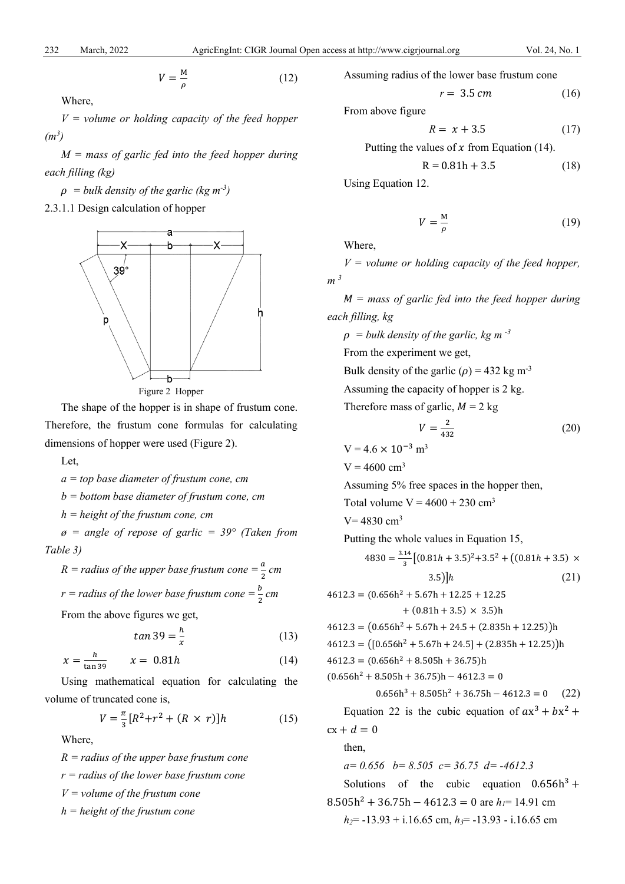$$
V = \frac{M}{\rho} \tag{12}
$$

Where,

*V = volume or holding capacity of the feed hopper (m<sup>3</sup> )*

*M = mass of garlic fed into the feed hopper during each filling (kg)* 

 $\rho$  = bulk density of the garlic (kg m<sup>-3</sup>)

2.3.1.1 Design calculation of hopper





The shape of the hopper is in shape of frustum cone. Therefore, the frustum cone formulas for calculating dimensions of hopper were used (Figure 2).

Let,

*a = top base diameter of frustum cone, cm*

*b = bottom base diameter of frustum cone, cm*

*h = height of the frustum cone, cm*

*ø = angle of repose of garlic = 39° (Taken from Table 3)*

$$
R = radius of the upper base frustum cone = \frac{a}{2} cm
$$
  

$$
r = radius of the lower base frustum cone = \frac{b}{2} cm
$$

From the above figures we get,

$$
tan 39 = \frac{h}{x} \tag{13}
$$

$$
x = \frac{h}{\tan 39} \qquad x = 0.81h \tag{14}
$$

Using mathematical equation for calculating the volume of truncated cone is,

$$
V = \frac{\pi}{3} [R^2 + r^2 + (R \times r)]h \tag{15}
$$

Where,

*R = radius of the upper base frustum cone r = radius of the lower base frustum cone V = volume of the frustum cone h = height of the frustum cone*

Assuming radius of the lower base frustum cone

$$
r = 3.5 \, \text{cm} \tag{16}
$$

From above figure

$$
R = x + 3.5 \tag{17}
$$

Putting the values of  $x$  from Equation (14).

$$
R = 0.81h + 3.5\tag{18}
$$

Using Equation 12.

$$
V = \frac{M}{\rho} \tag{19}
$$

Where,

*V = volume or holding capacity of the feed hopper, m <sup>3</sup>*

 *= mass of garlic fed into the feed hopper during each filling, kg*

 $\rho =$  bulk density of the garlic, kg m<sup>-3</sup>

From the experiment we get,

Bulk density of the garlic ( $\rho$ ) = 432 kg m<sup>-3</sup>

Assuming the capacity of hopper is 2 kg.

Therefore mass of garlic,  $M = 2$  kg

$$
V = \frac{2}{432} \tag{20}
$$

$$
V = 4.6 \times 10^{-3} \,\mathrm{m}^3
$$

 $V = 4600$  cm<sup>3</sup>

Assuming 5% free spaces in the hopper then,

Total volume  $V = 4600 + 230$  cm<sup>3</sup>

 $V = 4830$  cm<sup>3</sup>

Putting the whole values in Equation 15,

$$
4830 = \frac{3.14}{3} [(0.81h + 3.5)^2 + 3.5^2 + ((0.81h + 3.5) \times 3.5)]h
$$
 (21)

$$
4612.3 = (0.656h2 + 5.67h + 12.25 + 12.25+ (0.81h + 3.5) \times 3.5)h
$$
  

$$
4612.3 = (0.656h2 + 5.67h + 24.5 + (2.835h + 12.25))h
$$
  

$$
4612.3 = ([0.656h2 + 5.67h + 24.5] + (2.835h + 12.25))h
$$
  

$$
4612.3 = (0.656h2 + 8.505h + 36.75)h
$$
  

$$
(0.656h2 + 8.505h + 36.75)h - 4612.3 = 0
$$
  

$$
0.656h3 + 8.505h2 + 36.75h - 4612.3 = 0
$$
 (22)  
Equation 22 is the cubic equation of  $ax3 + bx2 + cx + d = 0$   
then,  
 $a = 0.656$   $b = 8.505$   $c = 36.75$   $d = -4612.3$   
Solutions of the cubic equation 0.656h<sup>3</sup> +  
 $8.505h2 + 36.75h - 4612.3 = 0$  are  $hl = 14.91$  cm  
 $h2 = -13.93 + i.16.65$  cm,  $h3 = -13.93 - i.16.65$  cm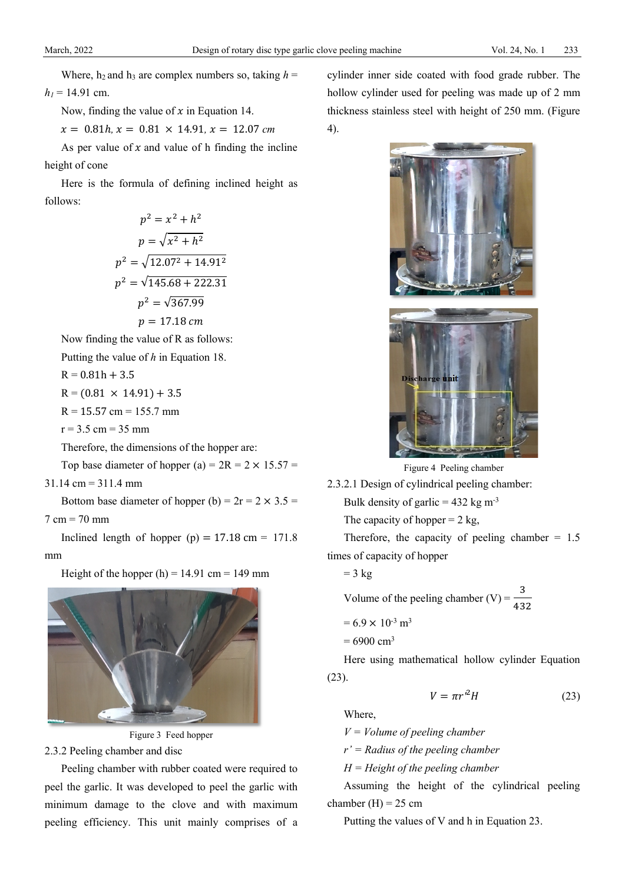Where,  $h_2$  and  $h_3$  are complex numbers so, taking  $h =$  $h_1 = 14.91$  cm.

Now, finding the value of  $x$  in Equation 14.

 $x = 0.81h, x = 0.81 \times 14.91, x = 12.07$  *cm* 

As per value of  $x$  and value of h finding the incline height of cone

Here is the formula of defining inclined height as follows:

$$
p2 = x2 + h2
$$

$$
p = \sqrt{x2 + h2}
$$

$$
p2 = \sqrt{12.072 + 14.912}
$$

$$
p2 = \sqrt{145.68 + 222.31}
$$

$$
p2 = \sqrt{367.99}
$$

$$
p = 17.18 cm
$$
Now finding the value of R as follows

Putting the value of *h* in Equation 18.

$$
R = 0.81h + 3.5
$$

 $R = (0.81 \times 14.91) + 3.5$ 

- $R = 15.57$  cm = 155.7 mm
- $r = 3.5$  cm = 35 mm

Therefore, the dimensions of the hopper are:

Top base diameter of hopper (a) =  $2R = 2 \times 15.57$  =

31.14 cm = 311.4 mm

Bottom base diameter of hopper (b) =  $2r = 2 \times 3.5$  =

 $7 cm = 70 mm$ 

Inclined length of hopper  $(p) = 17.18$  cm = 171.8 mm

Height of the hopper  $(h) = 14.91$  cm = 149 mm





### 2.3.2 Peeling chamber and disc

Peeling chamber with rubber coated were required to peel the garlic. It was developed to peel the garlic with minimum damage to the clove and with maximum peeling efficiency. This unit mainly comprises of a

cylinder inner side coated with food grade rubber. The hollow cylinder used for peeling was made up of 2 mm thickness stainless steel with height of 250 mm. (Figure 4).



Figure 4 Peeling chamber

2.3.2.1 Design of cylindrical peeling chamber:

Bulk density of garlic =  $432 \text{ kg m}^3$ 

The capacity of hopper  $= 2$  kg,

Therefore, the capacity of peeling chamber  $= 1.5$ times of capacity of hopper

$$
= 3 \text{ kg}
$$

Volume of the peeling chamber (V) =  $\frac{3}{10}$ 432

$$
= 6.9 \times 10^{-3} \text{ m}^3
$$

 $= 6900 \text{ cm}^3$ 

Here using mathematical hollow cylinder Equation (23).

$$
V = \pi r'^2 H \tag{23}
$$

Where,

*V = Volume of peeling chamber*

*r' = Radius of the peeling chamber*

*H = Height of the peeling chamber*

Assuming the height of the cylindrical peeling chamber  $(H) = 25$  cm

Putting the values of V and h in Equation 23.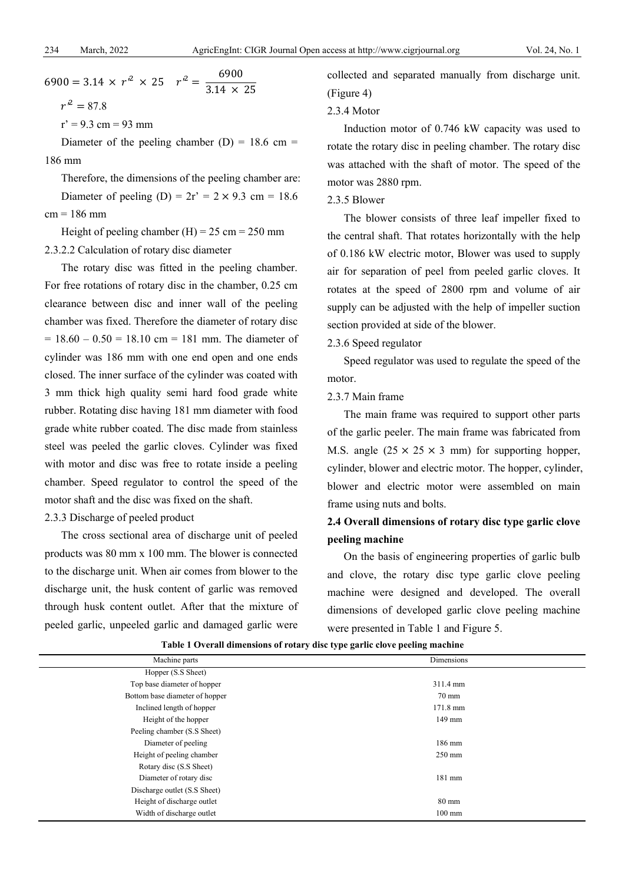$6900 = 3.14 \times r^2 \times 25 \quad r^2 = \frac{6900}{3.14 \times 25}$  $r^2 = 87.8$ 

 $r' = 9.3$  cm = 93 mm

Diameter of the peeling chamber  $(D) = 18.6$  cm = 186 mm

Therefore, the dimensions of the peeling chamber are: Diameter of peeling (D) =  $2r' = 2 \times 9.3$  cm = 18.6  $cm = 186$  mm

Height of peeling chamber (H) =  $25 \text{ cm} = 250 \text{ mm}$ 2.3.2.2 Calculation of rotary disc diameter

The rotary disc was fitted in the peeling chamber. For free rotations of rotary disc in the chamber, 0.25 cm clearance between disc and inner wall of the peeling chamber was fixed. Therefore the diameter of rotary disc  $= 18.60 - 0.50 = 18.10$  cm  $= 181$  mm. The diameter of cylinder was 186 mm with one end open and one ends closed. The inner surface of the cylinder was coated with 3 mm thick high quality semi hard food grade white rubber. Rotating disc having 181 mm diameter with food grade white rubber coated. The disc made from stainless steel was peeled the garlic cloves. Cylinder was fixed with motor and disc was free to rotate inside a peeling chamber. Speed regulator to control the speed of the motor shaft and the disc was fixed on the shaft.

2.3.3 Discharge of peeled product

The cross sectional area of discharge unit of peeled products was 80 mm x 100 mm. The blower is connected to the discharge unit. When air comes from blower to the discharge unit, the husk content of garlic was removed through husk content outlet. After that the mixture of peeled garlic, unpeeled garlic and damaged garlic were

collected and separated manually from discharge unit. (Figure 4)

#### 2.3.4 Motor

Induction motor of 0.746 kW capacity was used to rotate the rotary disc in peeling chamber. The rotary disc was attached with the shaft of motor. The speed of the motor was 2880 rpm.

#### 2.3.5 Blower

The blower consists of three leaf impeller fixed to the central shaft. That rotates horizontally with the help of 0.186 kW electric motor, Blower was used to supply air for separation of peel from peeled garlic cloves. It rotates at the speed of 2800 rpm and volume of air supply can be adjusted with the help of impeller suction section provided at side of the blower.

#### 2.3.6 Speed regulator

Speed regulator was used to regulate the speed of the motor.

#### 2.3.7 Main frame

The main frame was required to support other parts of the garlic peeler. The main frame was fabricated from M.S. angle  $(25 \times 25 \times 3 \text{ mm})$  for supporting hopper, cylinder, blower and electric motor. The hopper, cylinder, blower and electric motor were assembled on main frame using nuts and bolts.

## **2.4 Overall dimensions of rotary disc type garlic clove peeling machine**

On the basis of engineering properties of garlic bulb and clove, the rotary disc type garlic clove peeling machine were designed and developed. The overall dimensions of developed garlic clove peeling machine were presented in Table 1 and Figure 5.

| Machine parts                  | Dimensions         |
|--------------------------------|--------------------|
| Hopper (S.S Sheet)             |                    |
| Top base diameter of hopper    | 311.4 mm           |
| Bottom base diameter of hopper | $70 \text{ mm}$    |
| Inclined length of hopper      | $171.8 \text{ mm}$ |
| Height of the hopper           | $149$ mm           |
| Peeling chamber (S.S Sheet)    |                    |
| Diameter of peeling            | $186$ mm           |
| Height of peeling chamber      | $250$ mm           |
| Rotary disc (S.S Sheet)        |                    |
| Diameter of rotary disc        | $181$ mm           |
| Discharge outlet (S.S Sheet)   |                    |
| Height of discharge outlet     | $80 \text{ mm}$    |
| Width of discharge outlet      | $100 \text{ mm}$   |

**Table 1 Overall dimensions of rotary disc type garlic clove peeling machine**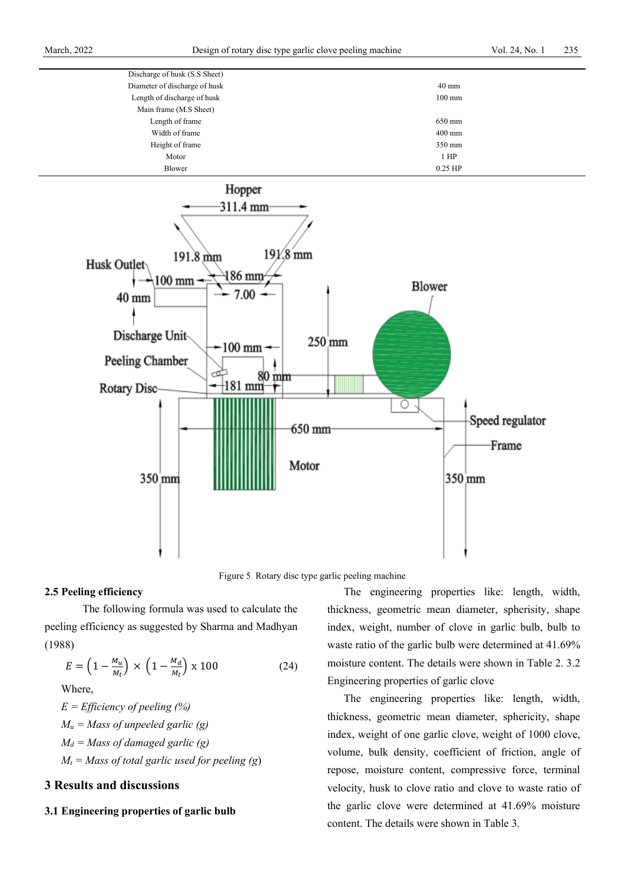| Discharge of husk (S.S Sheet) |                  |
|-------------------------------|------------------|
| Diameter of discharge of husk | $40 \text{ mm}$  |
| Length of discharge of husk   | $100 \text{ mm}$ |
| Main frame (M.S Sheet)        |                  |
| Length of frame               | 650 mm           |
| Width of frame                | $400$ mm         |
| Height of frame               | 350 mm           |
| Motor                         | $1$ HP           |
| Blower                        | $0.25$ HP        |
|                               |                  |



Figure 5 Rotary disc type garlic peeling machine

#### **2.5 Peeling efficiency**

The following formula was used to calculate the peeling efficiency as suggested by Sharma and Madhyan (1988)

$$
E = \left(1 - \frac{M_u}{M_t}\right) \times \left(1 - \frac{M_d}{M_t}\right) \times 100\tag{24}
$$

Where,

*E = Efficiency of peeling (%)*  $M_u$  = Mass of unpeeled garlic (g) *Md = Mass of damaged garlic (g)*  $M_t$  = Mass of total garlic used for peeling (g)

## **3 Results and discussions**

#### **3.1 Engineering properties of garlic bulb**

The engineering properties like: length, width, thickness, geometric mean diameter, spherisity, shape index, weight, number of clove in garlic bulb, bulb to waste ratio of the garlic bulb were determined at 41.69% moisture content. The details were shown in Table 2. 3.2 Engineering properties of garlic clove

The engineering properties like: length, width, thickness, geometric mean diameter, sphericity, shape index, weight of one garlic clove, weight of 1000 clove, volume, bulk density, coefficient of friction, angle of repose, moisture content, compressive force, terminal velocity, husk to clove ratio and clove to waste ratio of the garlic clove were determined at 41.69% moisture content. The details were shown in Table 3.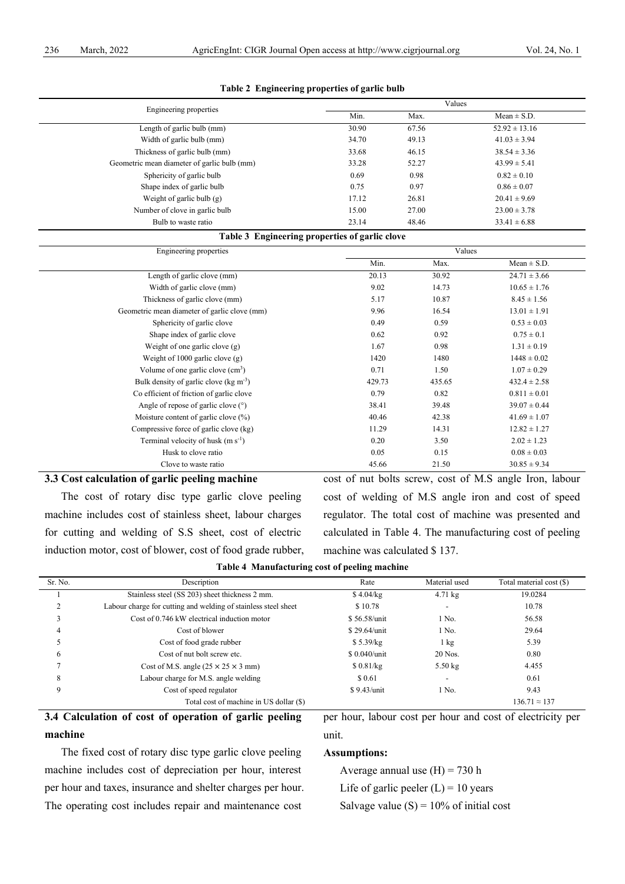| Engineering properties                               |                                                | Values |                   |  |  |
|------------------------------------------------------|------------------------------------------------|--------|-------------------|--|--|
|                                                      | Min.                                           | Max.   | $Mean \pm S.D.$   |  |  |
| Length of garlic bulb (mm)                           | 30.90                                          | 67.56  | $52.92 \pm 13.16$ |  |  |
| Width of garlic bulb (mm)                            | 34.70                                          | 49.13  | $41.03 \pm 3.94$  |  |  |
| Thickness of garlic bulb (mm)                        | 33.68                                          | 46.15  | $38.54 \pm 3.36$  |  |  |
| Geometric mean diameter of garlic bulb (mm)          | 33.28                                          | 52.27  | $43.99 \pm 5.41$  |  |  |
| Sphericity of garlic bulb                            | 0.69                                           | 0.98   | $0.82 \pm 0.10$   |  |  |
| Shape index of garlic bulb                           | 0.75                                           | 0.97   | $0.86 \pm 0.07$   |  |  |
| Weight of garlic bulb (g)                            | 17.12                                          | 26.81  | $20.41 \pm 9.69$  |  |  |
| Number of clove in garlic bulb                       | 15.00                                          | 27.00  | $23.00 \pm 3.78$  |  |  |
| Bulb to waste ratio                                  | 23.14                                          | 48.46  | $33.41 \pm 6.88$  |  |  |
|                                                      | Table 3 Engineering properties of garlic clove |        |                   |  |  |
| Engineering properties                               |                                                | Values |                   |  |  |
|                                                      | Min.                                           | Max.   | $Mean \pm S.D.$   |  |  |
| Length of garlic clove (mm)                          | 20.13                                          | 30.92  | $24.71 \pm 3.66$  |  |  |
| Width of garlic clove (mm)                           | 9.02                                           | 14.73  | $10.65 \pm 1.76$  |  |  |
| Thickness of garlic clove (mm)                       | 5.17                                           | 10.87  | $8.45 \pm 1.56$   |  |  |
| Geometric mean diameter of garlic clove (mm)         | 9.96                                           | 16.54  | $13.01 \pm 1.91$  |  |  |
| Sphericity of garlic clove                           | 0.49                                           | 0.59   | $0.53 \pm 0.03$   |  |  |
| Shape index of garlic clove                          | 0.62                                           | 0.92   | $0.75 \pm 0.1$    |  |  |
| Weight of one garlic clove $(g)$                     | 1.67                                           | 0.98   | $1.31 \pm 0.19$   |  |  |
| Weight of 1000 garlic clove $(g)$                    | 1420                                           | 1480   | $1448 \pm 0.02$   |  |  |
| Volume of one garlic clove $(cm3)$                   | 0.71                                           | 1.50   | $1.07 \pm 0.29$   |  |  |
| Bulk density of garlic clove ( $kg \text{ m}^{-3}$ ) | 429.73                                         | 435.65 | $432.4 \pm 2.58$  |  |  |
| Co efficient of friction of garlic clove             | 0.79                                           | 0.82   | $0.811 \pm 0.01$  |  |  |
| Angle of repose of garlic clove (°)                  | 38.41                                          | 39.48  | $39.07 \pm 0.44$  |  |  |
| Moisture content of garlic clove (%)                 | 40.46                                          | 42.38  | $41.69 \pm 1.07$  |  |  |
| Compressive force of garlic clove (kg)               | 11.29                                          | 14.31  | $12.82 \pm 1.27$  |  |  |
| Terminal velocity of husk (m s <sup>-1</sup> )       | 0.20                                           | 3.50   | $2.02 \pm 1.23$   |  |  |
| Husk to clove ratio                                  | 0.05                                           | 0.15   | $0.08 \pm 0.03$   |  |  |
| Clove to waste ratio                                 | 45.66                                          | 21.50  | $30.85 \pm 9.34$  |  |  |

#### **Table 2 Engineering properties of garlic bulb**

#### **3.3 Cost calculation of garlic peeling machine**

The cost of rotary disc type garlic clove peeling machine includes cost of stainless sheet, labour charges for cutting and welding of S.S sheet, cost of electric induction motor, cost of blower, cost of food grade rubber, cost of nut bolts screw, cost of M.S angle Iron, labour cost of welding of M.S angle iron and cost of speed regulator. The total cost of machine was presented and calculated in Table 4. The manufacturing cost of peeling machine was calculated \$ 137.

per hour, labour cost per hour and cost of electricity per

**Table 4 Manufacturing cost of peeling machine**

| Sr. No. | Description                                                    | Rate         | Material used            | Total material cost (\$) |
|---------|----------------------------------------------------------------|--------------|--------------------------|--------------------------|
|         | Stainless steel (SS 203) sheet thickness 2 mm.                 | \$4.04/kg    | $4.71 \text{ kg}$        | 19.0284                  |
|         | Labour charge for cutting and welding of stainless steel sheet | \$10.78      |                          | 10.78                    |
| 3       | Cost of 0.746 kW electrical induction motor                    | \$56.58/unit | 1 No.                    | 56.58                    |
| 4       | Cost of blower                                                 | \$29.64/unit | 1 No.                    | 29.64                    |
|         | Cost of food grade rubber                                      | \$5.39/kg    | 1 kg                     | 5.39                     |
| 6       | Cost of nut bolt screw etc.                                    | \$0.040/unit | $20$ Nos.                | 0.80                     |
|         | Cost of M.S. angle $(25 \times 25 \times 3 \text{ mm})$        | \$0.81/kg    | $5.50 \text{ kg}$        | 4.455                    |
| 8       | Labour charge for M.S. angle welding                           | \$ 0.61      | $\overline{\phantom{a}}$ | 0.61                     |
| 9       | Cost of speed regulator                                        | \$9.43/unit  | 1 No.                    | 9.43                     |
|         | Total cost of machine in US dollar (\$)                        |              |                          | $136.71 \approx 137$     |

## **3.4 Calculation of cost of operation of garlic peeling machine**

The fixed cost of rotary disc type garlic clove peeling machine includes cost of depreciation per hour, interest per hour and taxes, insurance and shelter charges per hour. The operating cost includes repair and maintenance cost

# unit.

## **Assumptions:**

Average annual use  $(H) = 730$  h

Life of garlic peeler  $(L) = 10$  years

Salvage value  $(S) = 10\%$  of initial cost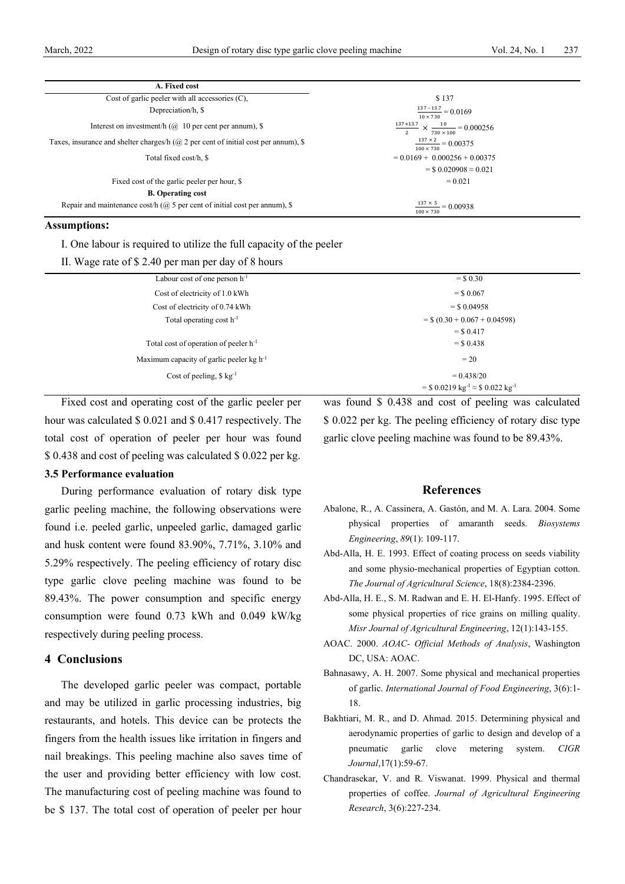| A. Fixed cost                                                                                 |                                                                                           |
|-----------------------------------------------------------------------------------------------|-------------------------------------------------------------------------------------------|
| Cost of garlic peeler with all accessories $(C)$ ,                                            | \$137                                                                                     |
| Depreciation/h, \$                                                                            | $\frac{137-13.7}{ }=0.0169$<br>$10 \times 730$                                            |
| Interest on investment/h ( $\omega$ 10 per cent per annum), \$                                | $\frac{137+13.7}{ } \times \frac{10}{ } = 0.000256$<br>$730 \times 100$<br>$\overline{2}$ |
| Taxes, insurance and shelter charges/h ( $\omega$ ) 2 per cent of initial cost per annum), \$ | $\frac{137 \times 2}{2} = 0.00375$<br>$100 \times 730$                                    |
| Total fixed cost/h, \$                                                                        | $= 0.0169 + 0.000256 + 0.00375$                                                           |
|                                                                                               | $=$ \$ 0.020908 $\approx$ 0.021                                                           |
| Fixed cost of the garlic peeler per hour, \$                                                  | $= 0.021$                                                                                 |
| <b>B.</b> Operating cost                                                                      |                                                                                           |
| Repair and maintenance cost/h ( $\omega$ ) 5 per cent of initial cost per annum), \$          | $\frac{137 \times 5}{2} = 0.00938$<br>$100 \times 730$                                    |

#### **Assumptions:**

I. One labour is required to utilize the full capacity of the peeler

II. Wage rate of \$ 2.40 per man per day of 8 hours

| Labour cost of one person $h^{-1}$              | $=$ \$ 0.30                                                      |  |
|-------------------------------------------------|------------------------------------------------------------------|--|
| Cost of electricity of 1.0 kWh                  | $=$ \$ 0.067                                                     |  |
| Cost of electricity of 0.74 kWh                 | $=$ \$ 0.04958                                                   |  |
| Total operating cost $h^{-1}$                   | $=$ \$ (0.30 + 0.067 + 0.04598)                                  |  |
|                                                 | $=$ \$ 0.417                                                     |  |
| Total cost of operation of peeler $h^{-1}$      | $=$ \$ 0.438                                                     |  |
| Maximum capacity of garlic peeler kg $h^{-1}$   | $=20$                                                            |  |
| Cost of peeling, $\frac{6}{5}$ kg <sup>-1</sup> | $= 0.438/20$                                                     |  |
|                                                 | = \$ 0.0219 kg <sup>-1</sup> $\approx$ \$ 0.022 kg <sup>-1</sup> |  |
|                                                 |                                                                  |  |

Fixed cost and operating cost of the garlic peeler per hour was calculated \$ 0.021 and \$ 0.417 respectively. The total cost of operation of peeler per hour was found \$ 0.438 and cost of peeling was calculated \$ 0.022 per kg.

#### **3.5 Performance evaluation**

During performance evaluation of rotary disk type garlic peeling machine, the following observations were found i.e. peeled garlic, unpeeled garlic, damaged garlic and husk content were found 83.90%, 7.71%, 3.10% and 5.29% respectively. The peeling efficiency of rotary disc type garlic clove peeling machine was found to be 89.43%. The power consumption and specific energy consumption were found 0.73 kWh and 0.049 kW/kg respectively during peeling process.

#### **4 Conclusions**

The developed garlic peeler was compact, portable and may be utilized in garlic processing industries, big restaurants, and hotels. This device can be protects the fingers from the health issues like irritation in fingers and nail breakings. This peeling machine also saves time of the user and providing better efficiency with low cost. The manufacturing cost of peeling machine was found to be \$ 137. The total cost of operation of peeler per hour

was found \$ 0.438 and cost of peeling was calculated \$ 0.022 per kg. The peeling efficiency of rotary disc type garlic clove peeling machine was found to be 89.43%.

#### **References**

- Abalone, R., A. Cassinera, A. Gastón, and M. A. Lara. 2004. Some physical properties of amaranth seeds. *Biosystems Engineering*, *89*(1): 109-117.
- Abd-Alla, H. E. 1993. Effect of coating process on seeds viability and some physio-mechanical properties of Egyptian cotton. *The Journal of Agricultural Science*, 18(8):2384-2396.
- Abd-Alla, H. E., S. M. Radwan and E. H. El-Hanfy. 1995. Effect of some physical properties of rice grains on milling quality. *Misr Journal of Agricultural Engineering*, 12(1):143-155.
- AOAC. 2000. *AOAC- Official Methods of Analysis*, Washington DC, USA: AOAC.
- Bahnasawy, A. H. 2007. Some physical and mechanical properties of garlic. *International Journal of Food Engineering*, 3(6):1- 18.
- Bakhtiari, M. R., and D. Ahmad. 2015. Determining physical and aerodynamic properties of garlic to design and develop of a pneumatic garlic clove metering system. *CIGR Journal*,17(1):59-67.
- Chandrasekar, V. and R. Viswanat. 1999. Physical and thermal properties of coffee. *Journal of Agricultural Engineering Research*, 3(6):227-234.